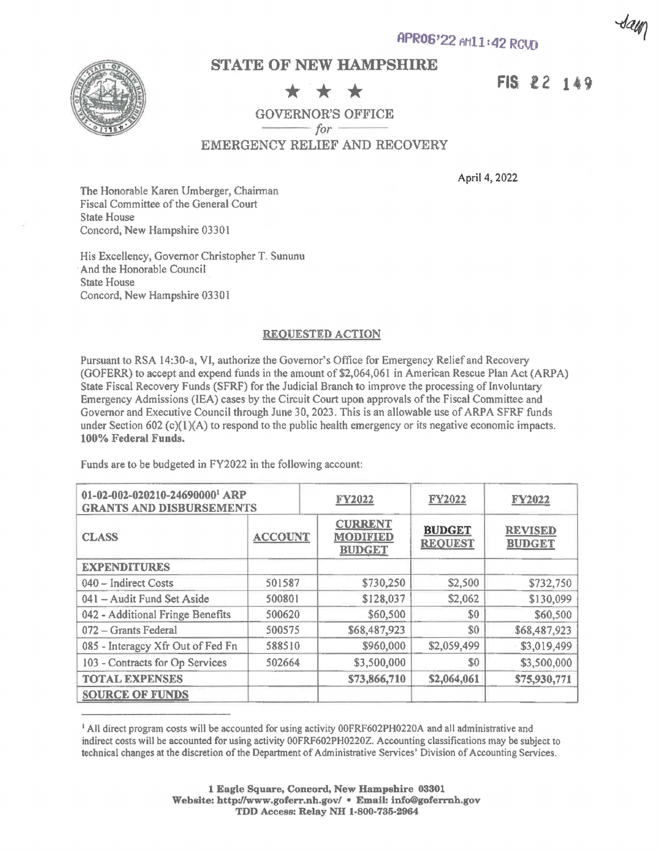

## **STATE OF NEW HAMPSHIRE**

Sam

 $\star \star \star$  **FIS 22 149**<br>ERNOR'S OFFICE GOVERNOR'S OFFICE

EMERGENCY RELIEF AND RECOVERY

April 4, 2022

The Honorable Karen Umberger, Chairman Fiscal Committee of the General Court State House Concord, New Hampshire 03301

His Excellency, Governor Christopher T. Sununu And the Honorable Council State House Concord, New Hampshire 03301

## **REQUESTED ACTION**

Pursuant to RSA 14:30-a, VI, authorize the Governor's Office for Emergency Relief and Recovery (GOFERR) to accept and expend funds in the amount of \$2,064,061 in American Rescue Plan Act (ARPA) State Fiscal Recovery Funds (SFRF) for the Judicial Branch to improve the processing of Involuntary Emergency Admissions (IEA) cases by the Circuit Court upon approvals of the Fiscal Committee and Governor and Executive Council through June 30, 2023. This is an allowable use of ARPA SFRF funds under Section 602 (c)( $\ell$ )(A) to respond to the public health emergency or its negative economic impacts. **100% Federal Funds.** 

Funds are to be budgeted in FY2022 in the following account:

| 01-02-002-020210-24690000 <sup>1</sup> ARP<br><b>GRANTS AND DISBURSEMENTS</b> |                | FY2022 |                                                    | <b>FY2022</b>                   | FY2022                          |
|-------------------------------------------------------------------------------|----------------|--------|----------------------------------------------------|---------------------------------|---------------------------------|
| <b>CLASS</b>                                                                  | <b>ACCOUNT</b> |        | <b>CURRENT</b><br><b>MODIFIED</b><br><b>BUDGET</b> | <b>BUDGET</b><br><b>REQUEST</b> | <b>REVISED</b><br><b>BUDGET</b> |
| <b>EXPENDITURES</b>                                                           |                |        |                                                    |                                 |                                 |
| 040 - Indirect Costs                                                          | 501587         |        | \$730,250                                          | \$2,500                         | \$732,750                       |
| 041 - Audit Fund Set Aside                                                    | 500801         |        | \$128,037                                          | \$2,062                         | \$130,099                       |
| 042 - Additional Fringe Benefits                                              | 500620         |        | \$60,500                                           | \$0                             | \$60,500                        |
| 072 - Grants Federal                                                          | 500575         |        | \$68,487,923                                       | \$0                             | \$68,487,923                    |
| 085 - Interagcy Xfr Out of Fed Fn                                             | 588510         |        | \$960,000                                          | \$2,059,499                     | \$3,019,499                     |
| 103 - Contracts for Op Services                                               | 502664         |        | \$3,500,000                                        | \$0                             | \$3,500,000                     |
| <b>TOTAL EXPENSES</b>                                                         |                |        | \$73,866,710                                       | \$2,064,061                     | \$75,930,771                    |
| <b>SOURCE OF FUNDS</b>                                                        |                |        |                                                    |                                 |                                 |

<sup>1</sup>All direct program costs will be accounted for using activity 00FRF602PH0220A and all administrative and indirect costs will be accounted for using activity 00FRF602PH0220Z. Accounting classifications may be subject to technical changes at the discretion of the Department of Administrative Services' Division of Accounting Services.